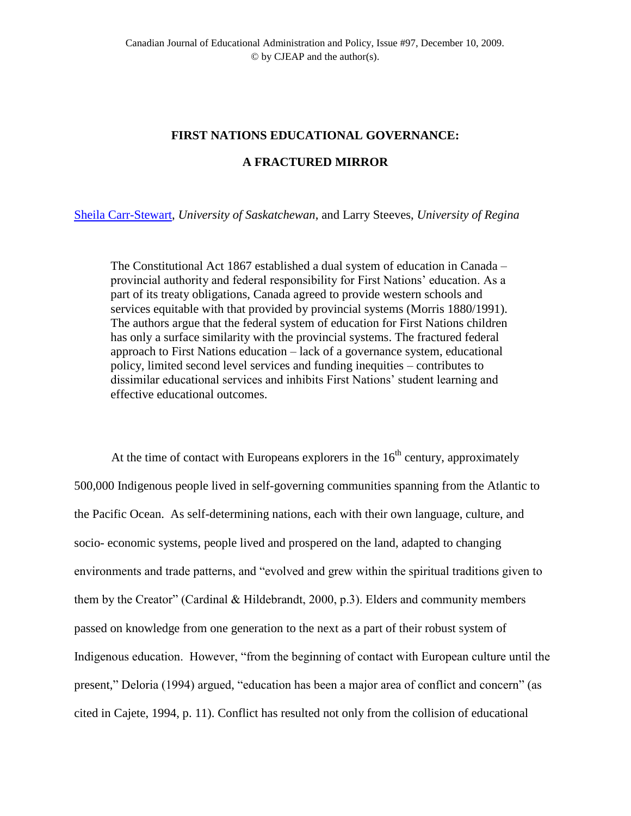# **FIRST NATIONS EDUCATIONAL GOVERNANCE:**

## **A FRACTURED MIRROR**

[Sheila Carr-Stewart,](mailto:Sheila%20Carr-Stewart%20%3cSheila.Carr-Stewart@usask.ca%3e) *University of Saskatchewan*, and Larry Steeves, *University of Regina*

The Constitutional Act 1867 established a dual system of education in Canada – provincial authority and federal responsibility for First Nations" education. As a part of its treaty obligations, Canada agreed to provide western schools and services equitable with that provided by provincial systems (Morris 1880/1991). The authors argue that the federal system of education for First Nations children has only a surface similarity with the provincial systems. The fractured federal approach to First Nations education – lack of a governance system, educational policy, limited second level services and funding inequities – contributes to dissimilar educational services and inhibits First Nations" student learning and effective educational outcomes.

At the time of contact with Europeans explorers in the  $16<sup>th</sup>$  century, approximately 500,000 Indigenous people lived in self-governing communities spanning from the Atlantic to the Pacific Ocean. As self-determining nations, each with their own language, culture, and socio- economic systems, people lived and prospered on the land, adapted to changing environments and trade patterns, and "evolved and grew within the spiritual traditions given to them by the Creator" (Cardinal & Hildebrandt, 2000, p.3). Elders and community members passed on knowledge from one generation to the next as a part of their robust system of Indigenous education. However, "from the beginning of contact with European culture until the present," Deloria (1994) argued, "education has been a major area of conflict and concern" (as cited in Cajete, 1994, p. 11). Conflict has resulted not only from the collision of educational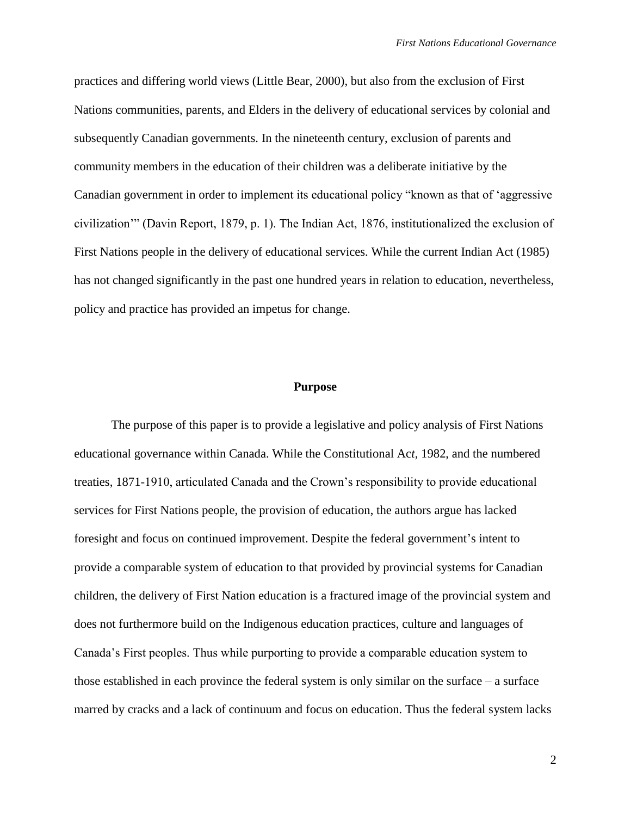practices and differing world views (Little Bear, 2000), but also from the exclusion of First Nations communities, parents, and Elders in the delivery of educational services by colonial and subsequently Canadian governments. In the nineteenth century, exclusion of parents and community members in the education of their children was a deliberate initiative by the Canadian government in order to implement its educational policy "known as that of "aggressive civilization"" (Davin Report, 1879, p. 1). The Indian Act, 1876, institutionalized the exclusion of First Nations people in the delivery of educational services. While the current Indian Act (1985) has not changed significantly in the past one hundred years in relation to education, nevertheless, policy and practice has provided an impetus for change.

### **Purpose**

The purpose of this paper is to provide a legislative and policy analysis of First Nations educational governance within Canada. While the Constitutional Ac*t,* 1982, and the numbered treaties, 1871-1910, articulated Canada and the Crown"s responsibility to provide educational services for First Nations people, the provision of education, the authors argue has lacked foresight and focus on continued improvement. Despite the federal government's intent to provide a comparable system of education to that provided by provincial systems for Canadian children, the delivery of First Nation education is a fractured image of the provincial system and does not furthermore build on the Indigenous education practices, culture and languages of Canada"s First peoples. Thus while purporting to provide a comparable education system to those established in each province the federal system is only similar on the surface – a surface marred by cracks and a lack of continuum and focus on education. Thus the federal system lacks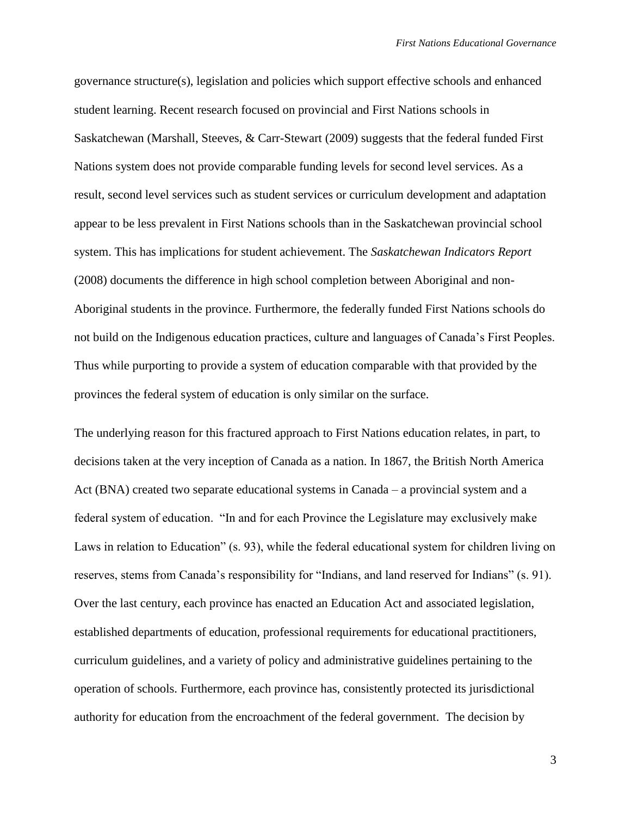governance structure(s), legislation and policies which support effective schools and enhanced student learning. Recent research focused on provincial and First Nations schools in Saskatchewan (Marshall, Steeves, & Carr-Stewart (2009) suggests that the federal funded First Nations system does not provide comparable funding levels for second level services. As a result, second level services such as student services or curriculum development and adaptation appear to be less prevalent in First Nations schools than in the Saskatchewan provincial school system. This has implications for student achievement. The *Saskatchewan Indicators Report* (2008) documents the difference in high school completion between Aboriginal and non-Aboriginal students in the province. Furthermore, the federally funded First Nations schools do not build on the Indigenous education practices, culture and languages of Canada"s First Peoples. Thus while purporting to provide a system of education comparable with that provided by the provinces the federal system of education is only similar on the surface.

The underlying reason for this fractured approach to First Nations education relates, in part, to decisions taken at the very inception of Canada as a nation. In 1867, the British North America Act (BNA) created two separate educational systems in Canada – a provincial system and a federal system of education. "In and for each Province the Legislature may exclusively make Laws in relation to Education" (s. 93), while the federal educational system for children living on reserves, stems from Canada"s responsibility for "Indians, and land reserved for Indians" (s. 91). Over the last century, each province has enacted an Education Act and associated legislation, established departments of education, professional requirements for educational practitioners, curriculum guidelines, and a variety of policy and administrative guidelines pertaining to the operation of schools. Furthermore, each province has, consistently protected its jurisdictional authority for education from the encroachment of the federal government. The decision by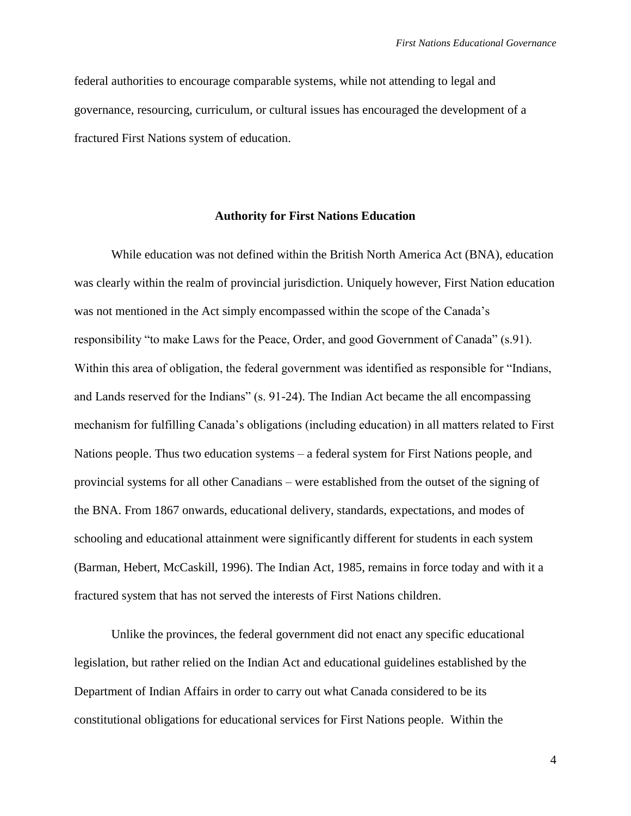federal authorities to encourage comparable systems, while not attending to legal and governance, resourcing, curriculum, or cultural issues has encouraged the development of a fractured First Nations system of education.

### **Authority for First Nations Education**

While education was not defined within the British North America Act (BNA), education was clearly within the realm of provincial jurisdiction. Uniquely however, First Nation education was not mentioned in the Act simply encompassed within the scope of the Canada's responsibility "to make Laws for the Peace, Order, and good Government of Canada" (s.91). Within this area of obligation, the federal government was identified as responsible for "Indians, and Lands reserved for the Indians" (s. 91-24). The Indian Act became the all encompassing mechanism for fulfilling Canada"s obligations (including education) in all matters related to First Nations people. Thus two education systems – a federal system for First Nations people, and provincial systems for all other Canadians – were established from the outset of the signing of the BNA. From 1867 onwards, educational delivery, standards, expectations, and modes of schooling and educational attainment were significantly different for students in each system (Barman, Hebert, McCaskill, 1996). The Indian Act*,* 1985, remains in force today and with it a fractured system that has not served the interests of First Nations children.

Unlike the provinces, the federal government did not enact any specific educational legislation, but rather relied on the Indian Act and educational guidelines established by the Department of Indian Affairs in order to carry out what Canada considered to be its constitutional obligations for educational services for First Nations people. Within the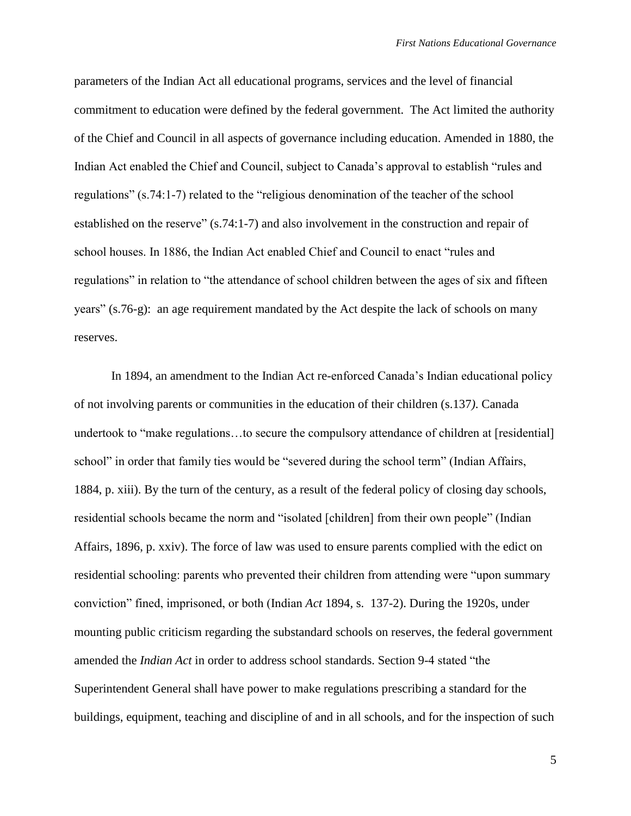parameters of the Indian Act all educational programs, services and the level of financial commitment to education were defined by the federal government. The Act limited the authority of the Chief and Council in all aspects of governance including education. Amended in 1880, the Indian Act enabled the Chief and Council, subject to Canada"s approval to establish "rules and regulations" (s.74:1-7) related to the "religious denomination of the teacher of the school established on the reserve" (s.74:1-7) and also involvement in the construction and repair of school houses. In 1886, the Indian Act enabled Chief and Council to enact "rules and regulations" in relation to "the attendance of school children between the ages of six and fifteen years" (s.76-g): an age requirement mandated by the Act despite the lack of schools on many reserves.

In 1894, an amendment to the Indian Act re-enforced Canada"s Indian educational policy of not involving parents or communities in the education of their children (s.137*)*. Canada undertook to "make regulations...to secure the compulsory attendance of children at [residential] school" in order that family ties would be "severed during the school term" (Indian Affairs, 1884, p. xiii). By the turn of the century, as a result of the federal policy of closing day schools, residential schools became the norm and "isolated [children] from their own people" (Indian Affairs, 1896, p. xxiv). The force of law was used to ensure parents complied with the edict on residential schooling: parents who prevented their children from attending were "upon summary conviction" fined, imprisoned, or both (Indian *Act* 1894*,* s. 137-2). During the 1920s, under mounting public criticism regarding the substandard schools on reserves, the federal government amended the *Indian Act* in order to address school standards. Section 9-4 stated "the Superintendent General shall have power to make regulations prescribing a standard for the buildings, equipment, teaching and discipline of and in all schools, and for the inspection of such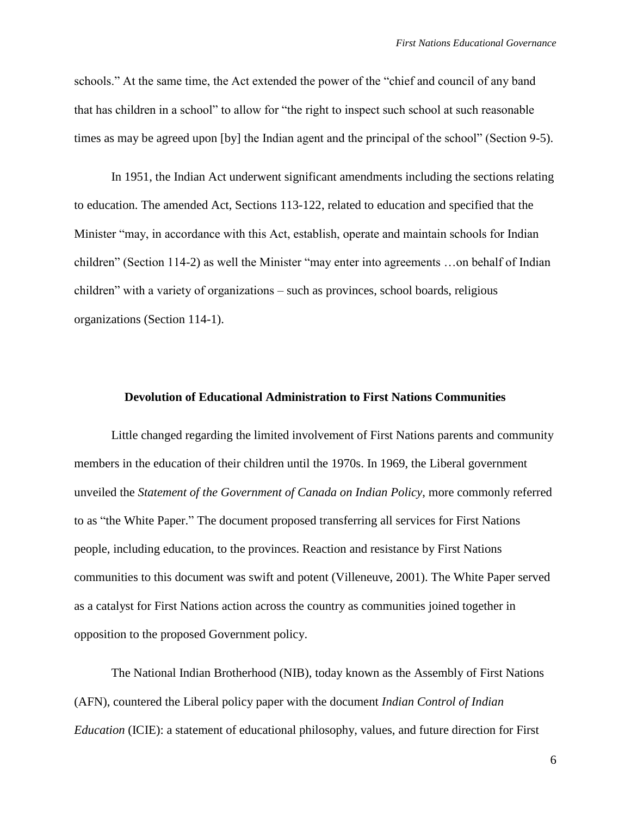schools." At the same time, the Act extended the power of the "chief and council of any band that has children in a school" to allow for "the right to inspect such school at such reasonable times as may be agreed upon [by] the Indian agent and the principal of the school" (Section 9-5).

In 1951, the Indian Act underwent significant amendments including the sections relating to education. The amended Act, Sections 113-122, related to education and specified that the Minister "may, in accordance with this Act, establish, operate and maintain schools for Indian children" (Section 114-2) as well the Minister "may enter into agreements …on behalf of Indian children" with a variety of organizations – such as provinces, school boards, religious organizations (Section 114-1).

# **Devolution of Educational Administration to First Nations Communities**

Little changed regarding the limited involvement of First Nations parents and community members in the education of their children until the 1970s. In 1969, the Liberal government unveiled the *Statement of the Government of Canada on Indian Policy*, more commonly referred to as "the White Paper." The document proposed transferring all services for First Nations people, including education, to the provinces. Reaction and resistance by First Nations communities to this document was swift and potent (Villeneuve, 2001). The White Paper served as a catalyst for First Nations action across the country as communities joined together in opposition to the proposed Government policy.

The National Indian Brotherhood (NIB), today known as the Assembly of First Nations (AFN), countered the Liberal policy paper with the document *Indian Control of Indian Education* (ICIE): a statement of educational philosophy, values, and future direction for First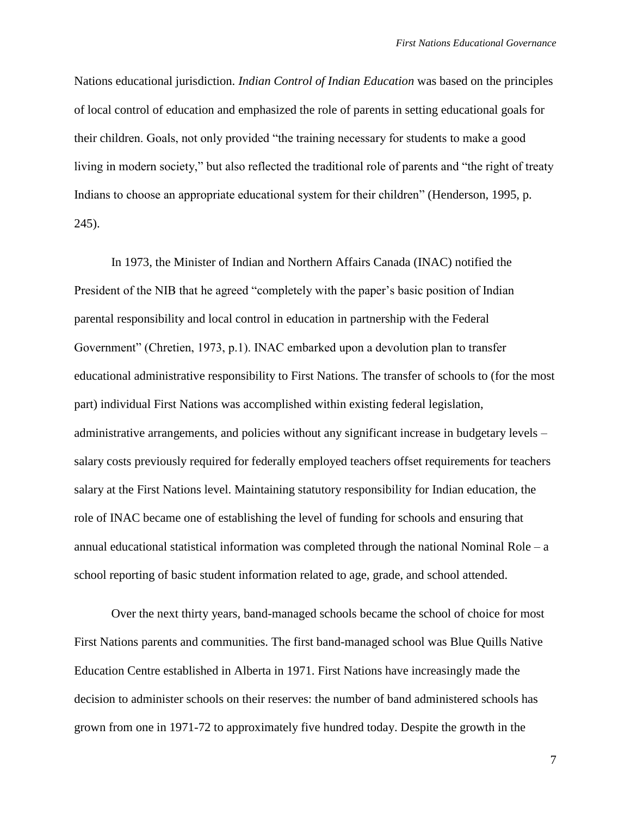Nations educational jurisdiction. *Indian Control of Indian Education* was based on the principles of local control of education and emphasized the role of parents in setting educational goals for their children. Goals, not only provided "the training necessary for students to make a good living in modern society," but also reflected the traditional role of parents and "the right of treaty Indians to choose an appropriate educational system for their children" (Henderson, 1995, p. 245).

In 1973, the Minister of Indian and Northern Affairs Canada (INAC) notified the President of the NIB that he agreed "completely with the paper"s basic position of Indian parental responsibility and local control in education in partnership with the Federal Government" (Chretien, 1973, p.1). INAC embarked upon a devolution plan to transfer educational administrative responsibility to First Nations. The transfer of schools to (for the most part) individual First Nations was accomplished within existing federal legislation, administrative arrangements, and policies without any significant increase in budgetary levels – salary costs previously required for federally employed teachers offset requirements for teachers salary at the First Nations level. Maintaining statutory responsibility for Indian education, the role of INAC became one of establishing the level of funding for schools and ensuring that annual educational statistical information was completed through the national Nominal Role – a school reporting of basic student information related to age, grade, and school attended.

Over the next thirty years, band-managed schools became the school of choice for most First Nations parents and communities. The first band-managed school was Blue Quills Native Education Centre established in Alberta in 1971. First Nations have increasingly made the decision to administer schools on their reserves: the number of band administered schools has grown from one in 1971-72 to approximately five hundred today. Despite the growth in the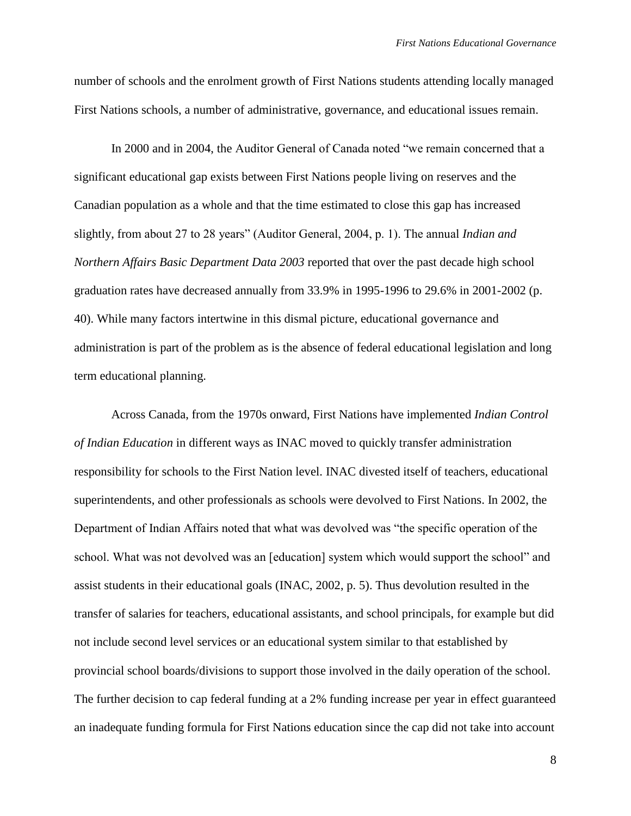number of schools and the enrolment growth of First Nations students attending locally managed First Nations schools, a number of administrative, governance, and educational issues remain.

In 2000 and in 2004, the Auditor General of Canada noted "we remain concerned that a significant educational gap exists between First Nations people living on reserves and the Canadian population as a whole and that the time estimated to close this gap has increased slightly, from about 27 to 28 years" (Auditor General, 2004, p. 1). The annual *Indian and Northern Affairs Basic Department Data 2003* reported that over the past decade high school graduation rates have decreased annually from 33.9% in 1995-1996 to 29.6% in 2001-2002 (p. 40). While many factors intertwine in this dismal picture, educational governance and administration is part of the problem as is the absence of federal educational legislation and long term educational planning.

Across Canada, from the 1970s onward, First Nations have implemented *Indian Control of Indian Education* in different ways as INAC moved to quickly transfer administration responsibility for schools to the First Nation level. INAC divested itself of teachers, educational superintendents, and other professionals as schools were devolved to First Nations. In 2002, the Department of Indian Affairs noted that what was devolved was "the specific operation of the school. What was not devolved was an [education] system which would support the school" and assist students in their educational goals (INAC, 2002, p. 5). Thus devolution resulted in the transfer of salaries for teachers, educational assistants, and school principals, for example but did not include second level services or an educational system similar to that established by provincial school boards/divisions to support those involved in the daily operation of the school. The further decision to cap federal funding at a 2% funding increase per year in effect guaranteed an inadequate funding formula for First Nations education since the cap did not take into account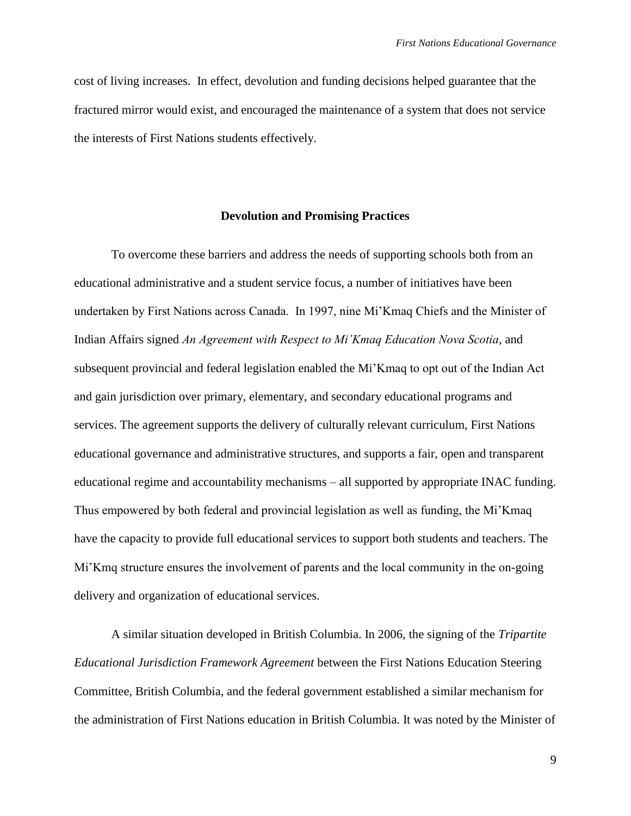cost of living increases. In effect, devolution and funding decisions helped guarantee that the fractured mirror would exist, and encouraged the maintenance of a system that does not service the interests of First Nations students effectively.

#### **Devolution and Promising Practices**

To overcome these barriers and address the needs of supporting schools both from an educational administrative and a student service focus, a number of initiatives have been undertaken by First Nations across Canada. In 1997, nine Mi"Kmaq Chiefs and the Minister of Indian Affairs signed *An Agreement with Respect to Mi'Kmaq Education Nova Scotia*, and subsequent provincial and federal legislation enabled the Mi"Kmaq to opt out of the Indian Act and gain jurisdiction over primary, elementary, and secondary educational programs and services. The agreement supports the delivery of culturally relevant curriculum, First Nations educational governance and administrative structures, and supports a fair, open and transparent educational regime and accountability mechanisms – all supported by appropriate INAC funding. Thus empowered by both federal and provincial legislation as well as funding, the Mi"Kmaq have the capacity to provide full educational services to support both students and teachers. The Mi"Kmq structure ensures the involvement of parents and the local community in the on-going delivery and organization of educational services.

A similar situation developed in British Columbia. In 2006, the signing of the *Tripartite Educational Jurisdiction Framework Agreement* between the First Nations Education Steering Committee, British Columbia, and the federal government established a similar mechanism for the administration of First Nations education in British Columbia. It was noted by the Minister of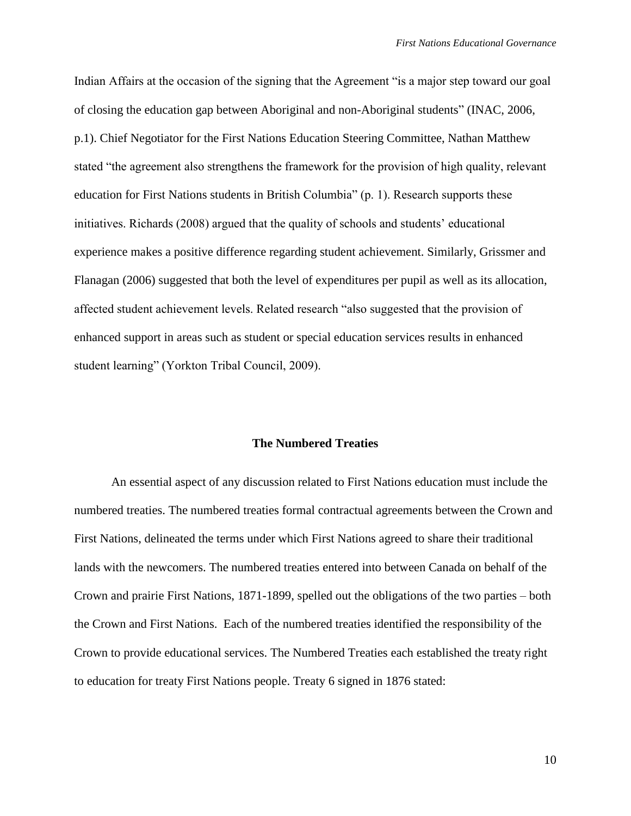Indian Affairs at the occasion of the signing that the Agreement "is a major step toward our goal of closing the education gap between Aboriginal and non-Aboriginal students" (INAC, 2006, p.1). Chief Negotiator for the First Nations Education Steering Committee, Nathan Matthew stated "the agreement also strengthens the framework for the provision of high quality, relevant education for First Nations students in British Columbia" (p. 1). Research supports these initiatives. Richards (2008) argued that the quality of schools and students' educational experience makes a positive difference regarding student achievement. Similarly, Grissmer and Flanagan (2006) suggested that both the level of expenditures per pupil as well as its allocation, affected student achievement levels. Related research "also suggested that the provision of enhanced support in areas such as student or special education services results in enhanced student learning" (Yorkton Tribal Council, 2009).

### **The Numbered Treaties**

An essential aspect of any discussion related to First Nations education must include the numbered treaties. The numbered treaties formal contractual agreements between the Crown and First Nations, delineated the terms under which First Nations agreed to share their traditional lands with the newcomers. The numbered treaties entered into between Canada on behalf of the Crown and prairie First Nations, 1871-1899, spelled out the obligations of the two parties – both the Crown and First Nations. Each of the numbered treaties identified the responsibility of the Crown to provide educational services. The Numbered Treaties each established the treaty right to education for treaty First Nations people. Treaty 6 signed in 1876 stated: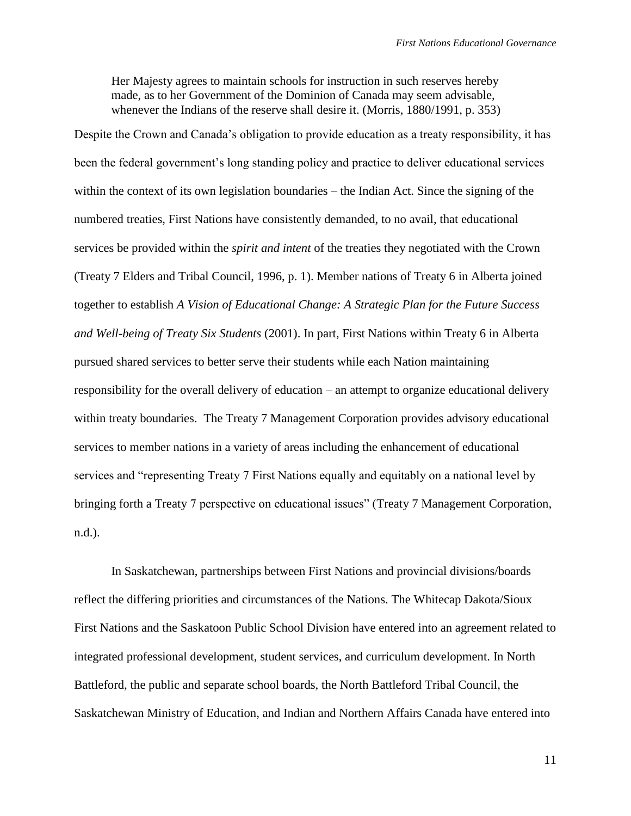Her Majesty agrees to maintain schools for instruction in such reserves hereby made, as to her Government of the Dominion of Canada may seem advisable, whenever the Indians of the reserve shall desire it. (Morris, 1880/1991, p. 353)

Despite the Crown and Canada"s obligation to provide education as a treaty responsibility, it has been the federal government's long standing policy and practice to deliver educational services within the context of its own legislation boundaries – the Indian Act. Since the signing of the numbered treaties, First Nations have consistently demanded, to no avail, that educational services be provided within the *spirit and intent* of the treaties they negotiated with the Crown (Treaty 7 Elders and Tribal Council, 1996, p. 1). Member nations of Treaty 6 in Alberta joined together to establish *A Vision of Educational Change: A Strategic Plan for the Future Success and Well-being of Treaty Six Students* (2001). In part, First Nations within Treaty 6 in Alberta pursued shared services to better serve their students while each Nation maintaining responsibility for the overall delivery of education – an attempt to organize educational delivery within treaty boundaries. The Treaty 7 Management Corporation provides advisory educational services to member nations in a variety of areas including the enhancement of educational services and "representing Treaty 7 First Nations equally and equitably on a national level by bringing forth a Treaty 7 perspective on educational issues" (Treaty 7 Management Corporation, n.d.).

In Saskatchewan, partnerships between First Nations and provincial divisions/boards reflect the differing priorities and circumstances of the Nations. The Whitecap Dakota/Sioux First Nations and the Saskatoon Public School Division have entered into an agreement related to integrated professional development, student services, and curriculum development. In North Battleford, the public and separate school boards, the North Battleford Tribal Council, the Saskatchewan Ministry of Education, and Indian and Northern Affairs Canada have entered into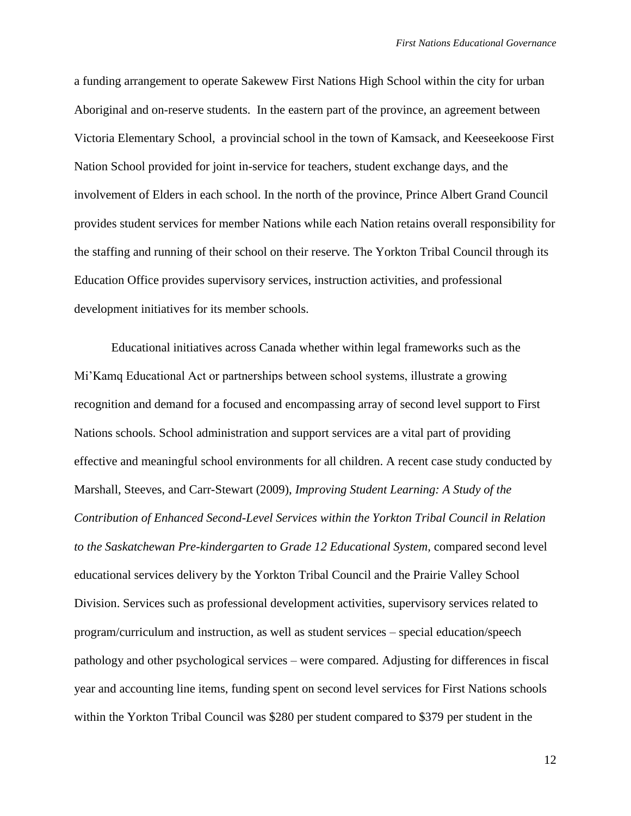a funding arrangement to operate Sakewew First Nations High School within the city for urban Aboriginal and on-reserve students. In the eastern part of the province, an agreement between Victoria Elementary School, a provincial school in the town of Kamsack, and Keeseekoose First Nation School provided for joint in-service for teachers, student exchange days, and the involvement of Elders in each school. In the north of the province, Prince Albert Grand Council provides student services for member Nations while each Nation retains overall responsibility for the staffing and running of their school on their reserve. The Yorkton Tribal Council through its Education Office provides supervisory services, instruction activities, and professional development initiatives for its member schools.

Educational initiatives across Canada whether within legal frameworks such as the Mi"Kamq Educational Act or partnerships between school systems, illustrate a growing recognition and demand for a focused and encompassing array of second level support to First Nations schools. School administration and support services are a vital part of providing effective and meaningful school environments for all children. A recent case study conducted by Marshall, Steeves, and Carr-Stewart (2009), *Improving Student Learning: A Study of the Contribution of Enhanced Second-Level Services within the Yorkton Tribal Council in Relation to the Saskatchewan Pre-kindergarten to Grade 12 Educational System, compared second level* educational services delivery by the Yorkton Tribal Council and the Prairie Valley School Division. Services such as professional development activities, supervisory services related to program/curriculum and instruction, as well as student services – special education/speech pathology and other psychological services – were compared. Adjusting for differences in fiscal year and accounting line items, funding spent on second level services for First Nations schools within the Yorkton Tribal Council was \$280 per student compared to \$379 per student in the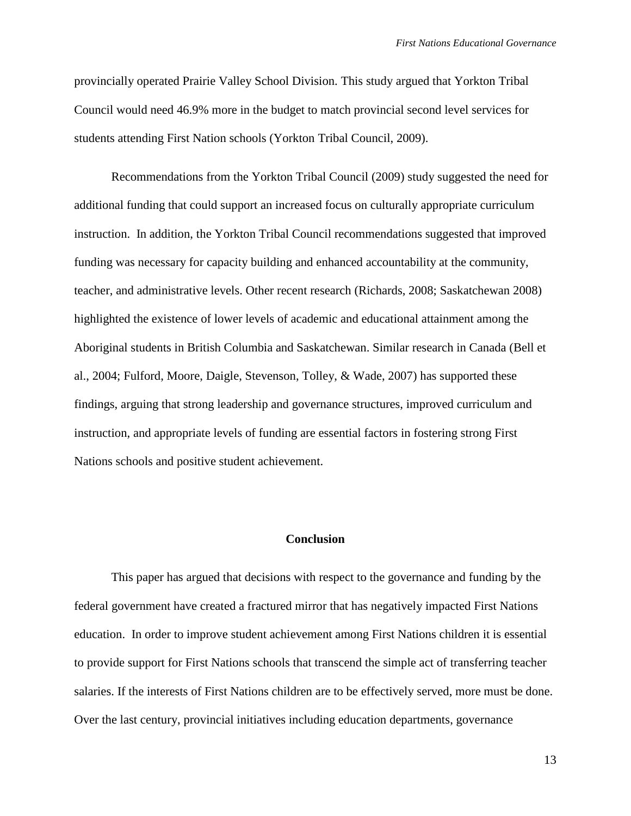provincially operated Prairie Valley School Division. This study argued that Yorkton Tribal Council would need 46.9% more in the budget to match provincial second level services for students attending First Nation schools (Yorkton Tribal Council, 2009).

Recommendations from the Yorkton Tribal Council (2009) study suggested the need for additional funding that could support an increased focus on culturally appropriate curriculum instruction. In addition, the Yorkton Tribal Council recommendations suggested that improved funding was necessary for capacity building and enhanced accountability at the community, teacher, and administrative levels. Other recent research (Richards, 2008; Saskatchewan 2008) highlighted the existence of lower levels of academic and educational attainment among the Aboriginal students in British Columbia and Saskatchewan. Similar research in Canada (Bell et al., 2004; Fulford, Moore, Daigle, Stevenson, Tolley, & Wade, 2007) has supported these findings, arguing that strong leadership and governance structures, improved curriculum and instruction, and appropriate levels of funding are essential factors in fostering strong First Nations schools and positive student achievement.

## **Conclusion**

This paper has argued that decisions with respect to the governance and funding by the federal government have created a fractured mirror that has negatively impacted First Nations education. In order to improve student achievement among First Nations children it is essential to provide support for First Nations schools that transcend the simple act of transferring teacher salaries. If the interests of First Nations children are to be effectively served, more must be done. Over the last century, provincial initiatives including education departments, governance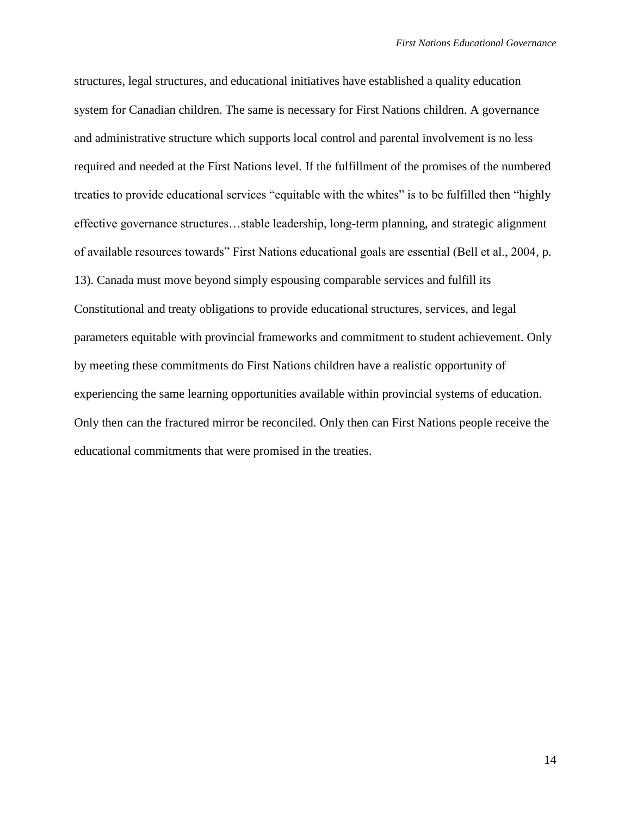structures, legal structures, and educational initiatives have established a quality education system for Canadian children. The same is necessary for First Nations children. A governance and administrative structure which supports local control and parental involvement is no less required and needed at the First Nations level. If the fulfillment of the promises of the numbered treaties to provide educational services "equitable with the whites" is to be fulfilled then "highly effective governance structures…stable leadership, long-term planning, and strategic alignment of available resources towards" First Nations educational goals are essential (Bell et al., 2004, p. 13). Canada must move beyond simply espousing comparable services and fulfill its Constitutional and treaty obligations to provide educational structures, services, and legal parameters equitable with provincial frameworks and commitment to student achievement. Only by meeting these commitments do First Nations children have a realistic opportunity of experiencing the same learning opportunities available within provincial systems of education. Only then can the fractured mirror be reconciled. Only then can First Nations people receive the educational commitments that were promised in the treaties.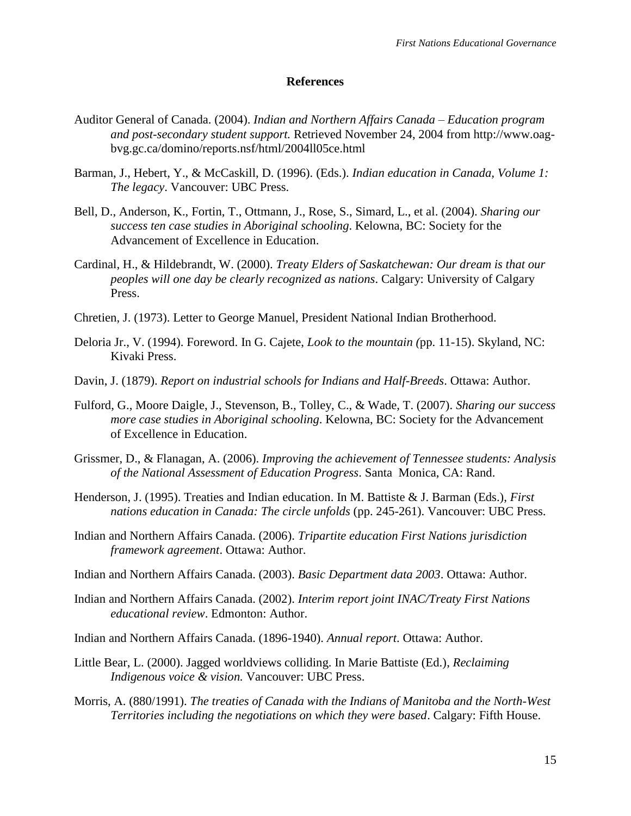### **References**

- Auditor General of Canada. (2004). *Indian and Northern Affairs Canada – Education program and post-secondary student support.* Retrieved November 24, 2004 from http://www.oagbvg.gc.ca/domino/reports.nsf/html/2004ll05ce.html
- Barman, J., Hebert, Y., & McCaskill, D. (1996). (Eds.). *Indian education in Canada, Volume 1: The legacy*. Vancouver: UBC Press.
- Bell, D., Anderson, K., Fortin, T., Ottmann, J., Rose, S., Simard, L., et al. (2004). *Sharing our success ten case studies in Aboriginal schooling*. Kelowna, BC: Society for the Advancement of Excellence in Education.
- Cardinal, H., & Hildebrandt, W. (2000). *Treaty Elders of Saskatchewan: Our dream is that our peoples will one day be clearly recognized as nations*. Calgary: University of Calgary Press.
- Chretien, J. (1973). Letter to George Manuel, President National Indian Brotherhood.
- Deloria Jr., V. (1994). Foreword. In G. Cajete, *Look to the mountain (*pp. 11-15). Skyland, NC: Kivaki Press.
- Davin, J. (1879). *Report on industrial schools for Indians and Half-Breeds*. Ottawa: Author.
- Fulford, G., Moore Daigle, J., Stevenson, B., Tolley, C., & Wade, T. (2007). *Sharing our success more case studies in Aboriginal schooling*. Kelowna, BC: Society for the Advancement of Excellence in Education.
- Grissmer, D., & Flanagan, A. (2006). *Improving the achievement of Tennessee students: Analysis of the National Assessment of Education Progress*. Santa Monica, CA: Rand.
- Henderson, J. (1995). Treaties and Indian education. In M. Battiste & J. Barman (Eds.), *First nations education in Canada: The circle unfolds* (pp. 245-261). Vancouver: UBC Press.
- Indian and Northern Affairs Canada. (2006). *Tripartite education First Nations jurisdiction framework agreement*. Ottawa: Author.
- Indian and Northern Affairs Canada. (2003). *Basic Department data 2003*. Ottawa: Author.
- Indian and Northern Affairs Canada. (2002). *Interim report joint INAC/Treaty First Nations educational review*. Edmonton: Author.
- Indian and Northern Affairs Canada. (1896-1940). *Annual report*. Ottawa: Author.
- Little Bear, L. (2000). Jagged worldviews colliding. In Marie Battiste (Ed.), *Reclaiming Indigenous voice & vision.* Vancouver: UBC Press.
- Morris, A. (880/1991). *The treaties of Canada with the Indians of Manitoba and the North-West Territories including the negotiations on which they were based*. Calgary: Fifth House.